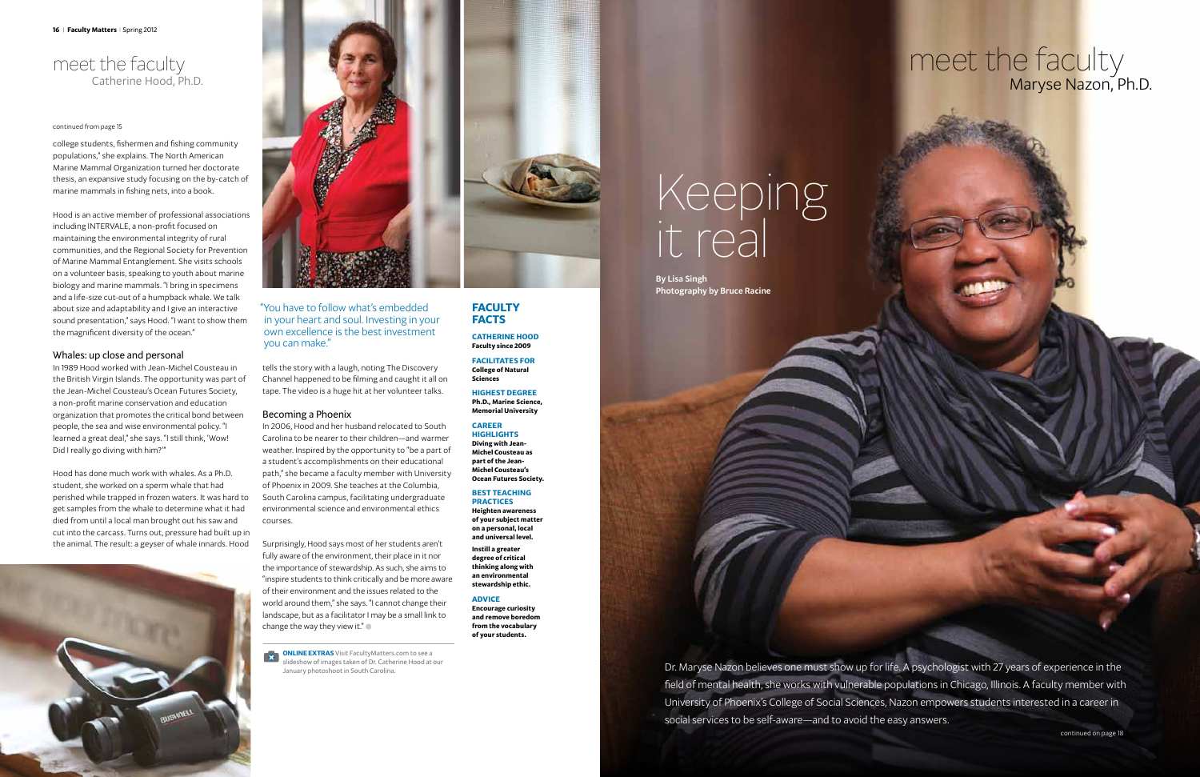# meet the faculty Maryse Nazon, Ph.D.

# Keeping it real

By Lisa Singh Photography by Bruce Racine

Dr. Maryse Nazon believes one must show up for life. A psychologist with 27 years of experience in the field of mental health, she works with vulnerable populations in Chicago, Illinois. A faculty member with University of Phoenix's College of Social Sciences, Nazon empowers students interested in a career in social services to be self-aware—and to avoid the easy answers.

continued on page 18